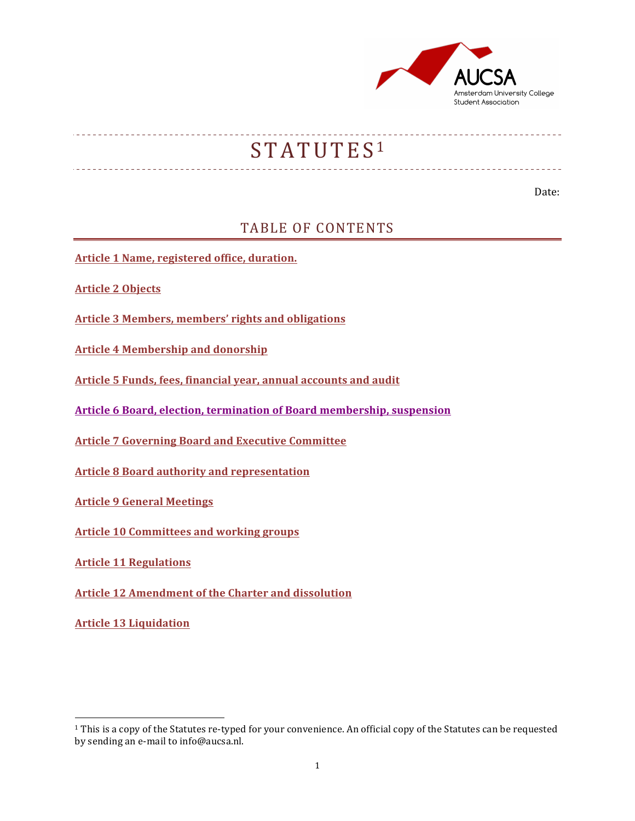

# STATUTES<sup>1</sup>

Date: 

## TABLE OF CONTENTS

**Article 1 Name, registered office, duration.** 

**Article 2 Objects**

**Article 3 Members, members' rights and obligations** 

**Article 4 Membership and donorship** 

Article 5 Funds, fees, financial year, annual accounts and audit

**Article 6 Board, election, termination of Board membership, suspension** 

**Article 7 Governing Board and Executive Committee** 

**Article 8 Board authority and representation** 

**Article 9 General Meetings** 

**Article 10 Committees and working groups** 

**Article 11 Regulations** 

**Article 12 Amendment of the Charter and dissolution** 

**Article 13 Liquidation**

 

<sup>&</sup>lt;sup>1</sup> This is a copy of the Statutes re-typed for your convenience. An official copy of the Statutes can be requested by sending an e-mail to info@aucsa.nl.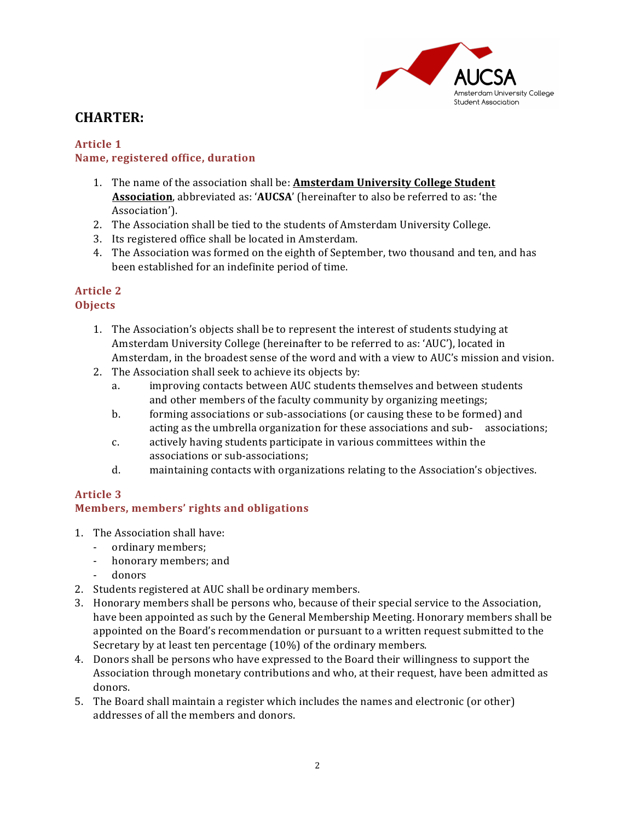

# **CHARTER:**

#### **Article 1 Name, registered office, duration**

- 1. The name of the association shall be: **Amsterdam University College Student Association**, abbreviated as: **'AUCSA'** (hereinafter to also be referred to as: 'the Association').
- 2. The Association shall be tied to the students of Amsterdam University College.
- 3. Its registered office shall be located in Amsterdam.
- 4. The Association was formed on the eighth of September, two thousand and ten, and has been established for an indefinite period of time.

### **Article 2 Objects**

- 1. The Association's objects shall be to represent the interest of students studying at Amsterdam University College (hereinafter to be referred to as: 'AUC'), located in Amsterdam, in the broadest sense of the word and with a view to AUC's mission and vision.
- 2. The Association shall seek to achieve its objects by:
	- a. improving contacts between AUC students themselves and between students and other members of the faculty community by organizing meetings;
	- b. forming associations or sub-associations (or causing these to be formed) and acting as the umbrella organization for these associations and sub- associations;
	- c. actively having students participate in various committees within the associations or sub-associations;
	- d. maintaining contacts with organizations relating to the Association's objectives.

## **Article 3**

## **Members, members' rights and obligations**

- 1. The Association shall have:
	- ordinary members;
	- honorary members; and
	- donors
- 2. Students registered at AUC shall be ordinary members.
- 3. Honorary members shall be persons who, because of their special service to the Association, have been appointed as such by the General Membership Meeting. Honorary members shall be appointed on the Board's recommendation or pursuant to a written request submitted to the Secretary by at least ten percentage  $(10\%)$  of the ordinary members.
- 4. Donors shall be persons who have expressed to the Board their willingness to support the Association through monetary contributions and who, at their request, have been admitted as donors.
- 5. The Board shall maintain a register which includes the names and electronic (or other) addresses of all the members and donors.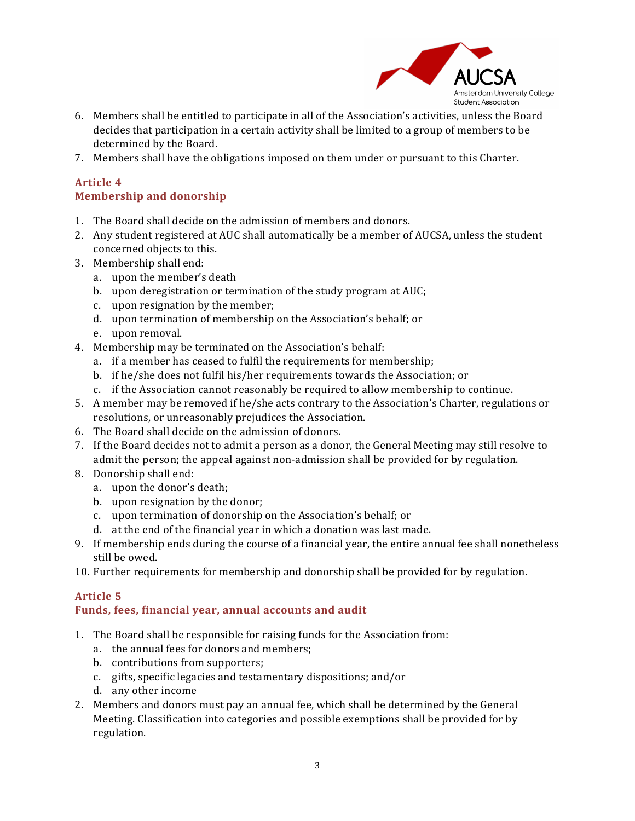

- 6. Members shall be entitled to participate in all of the Association's activities, unless the Board decides that participation in a certain activity shall be limited to a group of members to be determined by the Board.
- 7. Members shall have the obligations imposed on them under or pursuant to this Charter.

#### **Article 4 Membership and donorship**

- 1. The Board shall decide on the admission of members and donors.
- 2. Anv student registered at AUC shall automatically be a member of AUCSA, unless the student concerned objects to this.
- 3. Membership shall end:
	- a. upon the member's death
	- b. upon deregistration or termination of the study program at AUC;
	- c. upon resignation by the member;
	- d. upon termination of membership on the Association's behalf; or
	- e. upon removal.
- 4. Membership may be terminated on the Association's behalf:
	- a. if a member has ceased to fulfil the requirements for membership;
	- b. if he/she does not fulfil his/her requirements towards the Association; or
	- c. if the Association cannot reasonably be required to allow membership to continue.
- 5. A member may be removed if he/she acts contrary to the Association's Charter, regulations or resolutions, or unreasonably prejudices the Association.
- 6. The Board shall decide on the admission of donors.
- 7. If the Board decides not to admit a person as a donor, the General Meeting may still resolve to admit the person; the appeal against non-admission shall be provided for by regulation.
- 8. Donorship shall end:
	- a. upon the donor's death;
	- b. upon resignation by the donor;
	- c. upon termination of donorship on the Association's behalf; or
	- d. at the end of the financial year in which a donation was last made.
- 9. If membership ends during the course of a financial year, the entire annual fee shall nonetheless still be owed.
- 10. Further requirements for membership and donorship shall be provided for by regulation.

## Article 5

#### Funds, fees, financial year, annual accounts and audit

- 1. The Board shall be responsible for raising funds for the Association from:
	- a. the annual fees for donors and members;
	- b. contributions from supporters;
	- c. gifts, specific legacies and testamentary dispositions; and/or
	- d. any other income
- 2. Members and donors must pay an annual fee, which shall be determined by the General Meeting. Classification into categories and possible exemptions shall be provided for by regulation.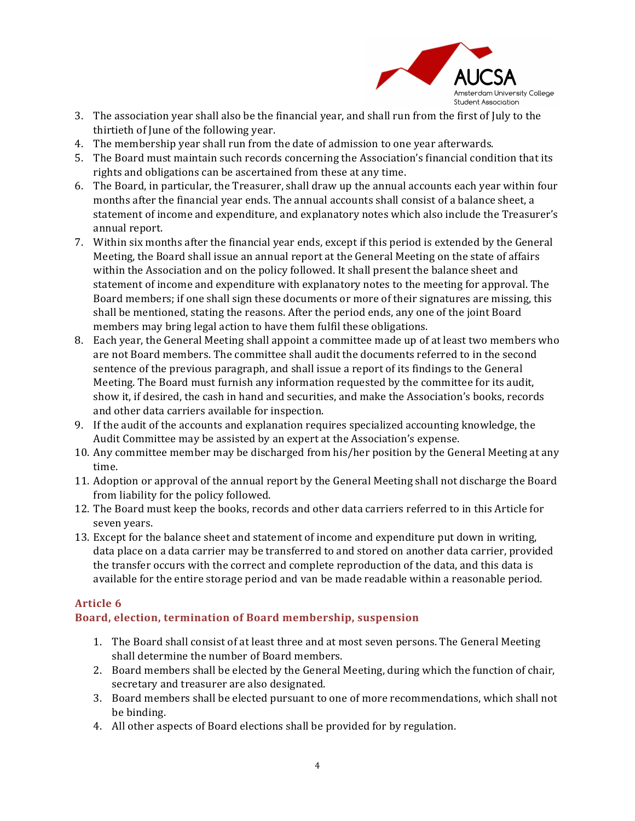

- 3. The association year shall also be the financial year, and shall run from the first of July to the thirtieth of June of the following year.
- 4. The membership year shall run from the date of admission to one year afterwards.
- 5. The Board must maintain such records concerning the Association's financial condition that its rights and obligations can be ascertained from these at any time.
- 6. The Board, in particular, the Treasurer, shall draw up the annual accounts each year within four months after the financial year ends. The annual accounts shall consist of a balance sheet, a statement of income and expenditure, and explanatory notes which also include the Treasurer's annual report.
- 7. Within six months after the financial year ends, except if this period is extended by the General Meeting, the Board shall issue an annual report at the General Meeting on the state of affairs within the Association and on the policy followed. It shall present the balance sheet and statement of income and expenditure with explanatory notes to the meeting for approval. The Board members; if one shall sign these documents or more of their signatures are missing, this shall be mentioned, stating the reasons. After the period ends, any one of the joint Board members may bring legal action to have them fulfil these obligations.
- 8. Each year, the General Meeting shall appoint a committee made up of at least two members who are not Board members. The committee shall audit the documents referred to in the second sentence of the previous paragraph, and shall issue a report of its findings to the General Meeting. The Board must furnish any information requested by the committee for its audit, show it, if desired, the cash in hand and securities, and make the Association's books, records and other data carriers available for inspection.
- 9. If the audit of the accounts and explanation requires specialized accounting knowledge, the Audit Committee may be assisted by an expert at the Association's expense.
- 10. Any committee member may be discharged from his/her position by the General Meeting at any time.
- 11. Adoption or approval of the annual report by the General Meeting shall not discharge the Board from liability for the policy followed.
- 12. The Board must keep the books, records and other data carriers referred to in this Article for seven years.
- 13. Except for the balance sheet and statement of income and expenditure put down in writing, data place on a data carrier may be transferred to and stored on another data carrier, provided the transfer occurs with the correct and complete reproduction of the data, and this data is available for the entire storage period and van be made readable within a reasonable period.

## **Article 6**

#### Board, election, termination of Board membership, suspension

- 1. The Board shall consist of at least three and at most seven persons. The General Meeting shall determine the number of Board members.
- 2. Board members shall be elected by the General Meeting, during which the function of chair, secretary and treasurer are also designated.
- 3. Board members shall be elected pursuant to one of more recommendations, which shall not be binding.
- 4. All other aspects of Board elections shall be provided for by regulation.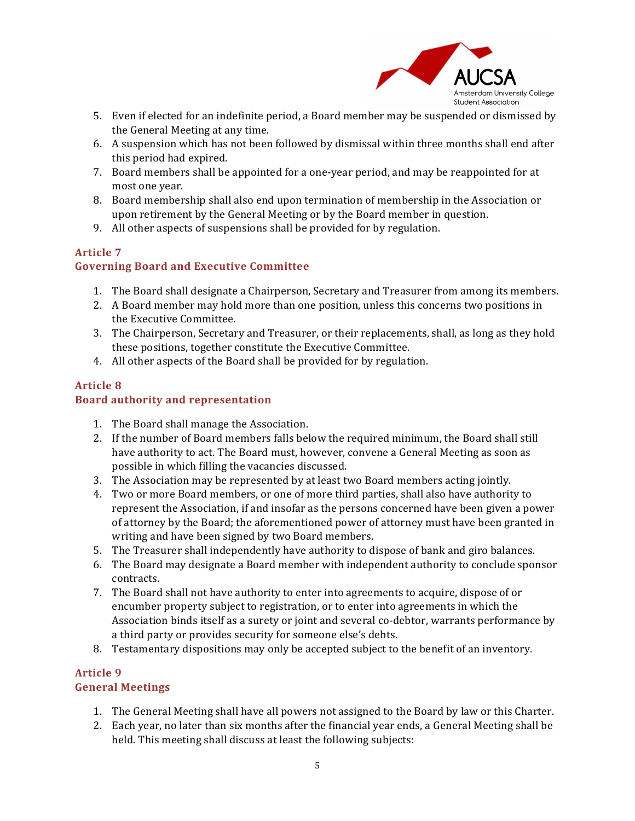

- 5. Even if elected for an indefinite period, a Board member may be suspended or dismissed by the General Meeting at any time.
- 6. A suspension which has not been followed by dismissal within three months shall end after this period had expired.
- 7. Board members shall be appointed for a one-year period, and may be reappointed for at most one year.
- 8. Board membership shall also end upon termination of membership in the Association or upon retirement by the General Meeting or by the Board member in question.
- 9. All other aspects of suspensions shall be provided for by regulation.

## **Article 7**

## **Governing Board and Executive Committee**

- 1. The Board shall designate a Chairperson, Secretary and Treasurer from among its members.
- 2. A Board member may hold more than one position, unless this concerns two positions in the Executive Committee.
- 3. The Chairperson, Secretary and Treasurer, or their replacements, shall, as long as they hold these positions, together constitute the Executive Committee.
- 4. All other aspects of the Board shall be provided for by regulation.

## **Article 8**

## **Board authority and representation**

- 1. The Board shall manage the Association.
- 2. If the number of Board members falls below the required minimum, the Board shall still have authority to act. The Board must, however, convene a General Meeting as soon as possible in which filling the vacancies discussed.
- 3. The Association may be represented by at least two Board members acting jointly.
- 4. Two or more Board members, or one of more third parties, shall also have authority to represent the Association, if and insofar as the persons concerned have been given a power of attorney by the Board; the aforementioned power of attorney must have been granted in writing and have been signed by two Board members.
- 5. The Treasurer shall independently have authority to dispose of bank and giro balances.
- 6. The Board may designate a Board member with independent authority to conclude sponsor contracts.
- 7. The Board shall not have authority to enter into agreements to acquire, dispose of or encumber property subject to registration, or to enter into agreements in which the Association binds itself as a surety or joint and several co-debtor, warrants performance by a third party or provides security for someone else's debts.
- 8. Testamentary dispositions may only be accepted subject to the benefit of an inventory.

#### **Article 9 General Meetings**

- 1. The General Meeting shall have all powers not assigned to the Board by law or this Charter.
- 2. Each year, no later than six months after the financial year ends, a General Meeting shall be held. This meeting shall discuss at least the following subjects: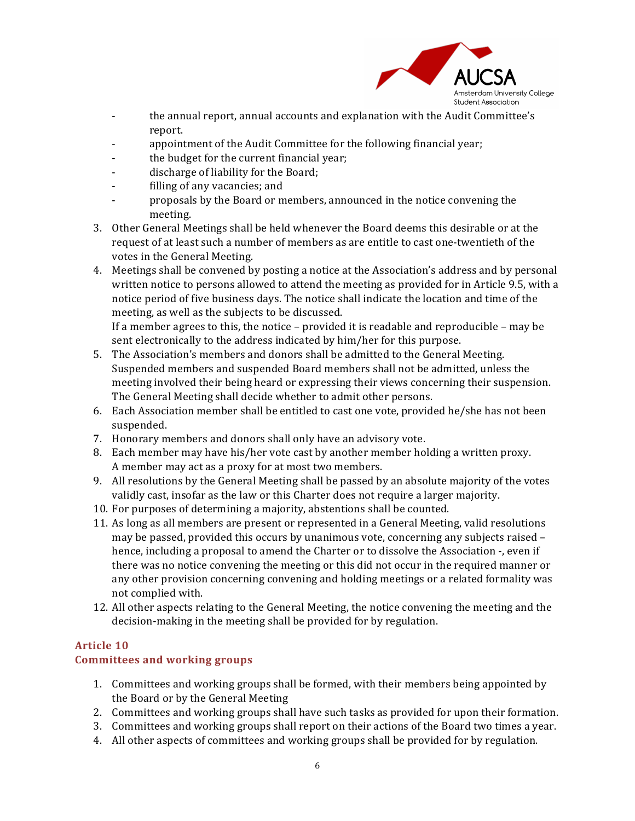

- the annual report, annual accounts and explanation with the Audit Committee's report.
- appointment of the Audit Committee for the following financial year;
- the budget for the current financial year;
- discharge of liability for the Board;
- filling of any vacancies; and
- proposals by the Board or members, announced in the notice convening the meeting.
- 3. Other General Meetings shall be held whenever the Board deems this desirable or at the request of at least such a number of members as are entitle to cast one-twentieth of the votes in the General Meeting.
- 4. Meetings shall be convened by posting a notice at the Association's address and by personal written notice to persons allowed to attend the meeting as provided for in Article 9.5, with a notice period of five business days. The notice shall indicate the location and time of the meeting, as well as the subjects to be discussed.

If a member agrees to this, the notice – provided it is readable and reproducible – may be sent electronically to the address indicated by him/her for this purpose.

- 5. The Association's members and donors shall be admitted to the General Meeting. Suspended members and suspended Board members shall not be admitted, unless the meeting involved their being heard or expressing their views concerning their suspension. The General Meeting shall decide whether to admit other persons.
- 6. Each Association member shall be entitled to cast one vote, provided he/she has not been suspended.
- 7. Honorary members and donors shall only have an advisory vote.
- 8. Each member may have his/her vote cast by another member holding a written proxy. A member may act as a proxy for at most two members.
- 9. All resolutions by the General Meeting shall be passed by an absolute majority of the votes validly cast, insofar as the law or this Charter does not require a larger majority.
- 10. For purposes of determining a majority, abstentions shall be counted.
- 11. As long as all members are present or represented in a General Meeting, valid resolutions may be passed, provided this occurs by unanimous vote, concerning any subjects raised  $$ hence, including a proposal to amend the Charter or to dissolve the Association -, even if there was no notice convening the meeting or this did not occur in the required manner or any other provision concerning convening and holding meetings or a related formality was not complied with.
- 12. All other aspects relating to the General Meeting, the notice convening the meeting and the decision-making in the meeting shall be provided for by regulation.

#### **Article 10**

#### **Committees and working groups**

- 1. Committees and working groups shall be formed, with their members being appointed by the Board or by the General Meeting
- 2. Committees and working groups shall have such tasks as provided for upon their formation.
- 3. Committees and working groups shall report on their actions of the Board two times a year.
- 4. All other aspects of committees and working groups shall be provided for by regulation.